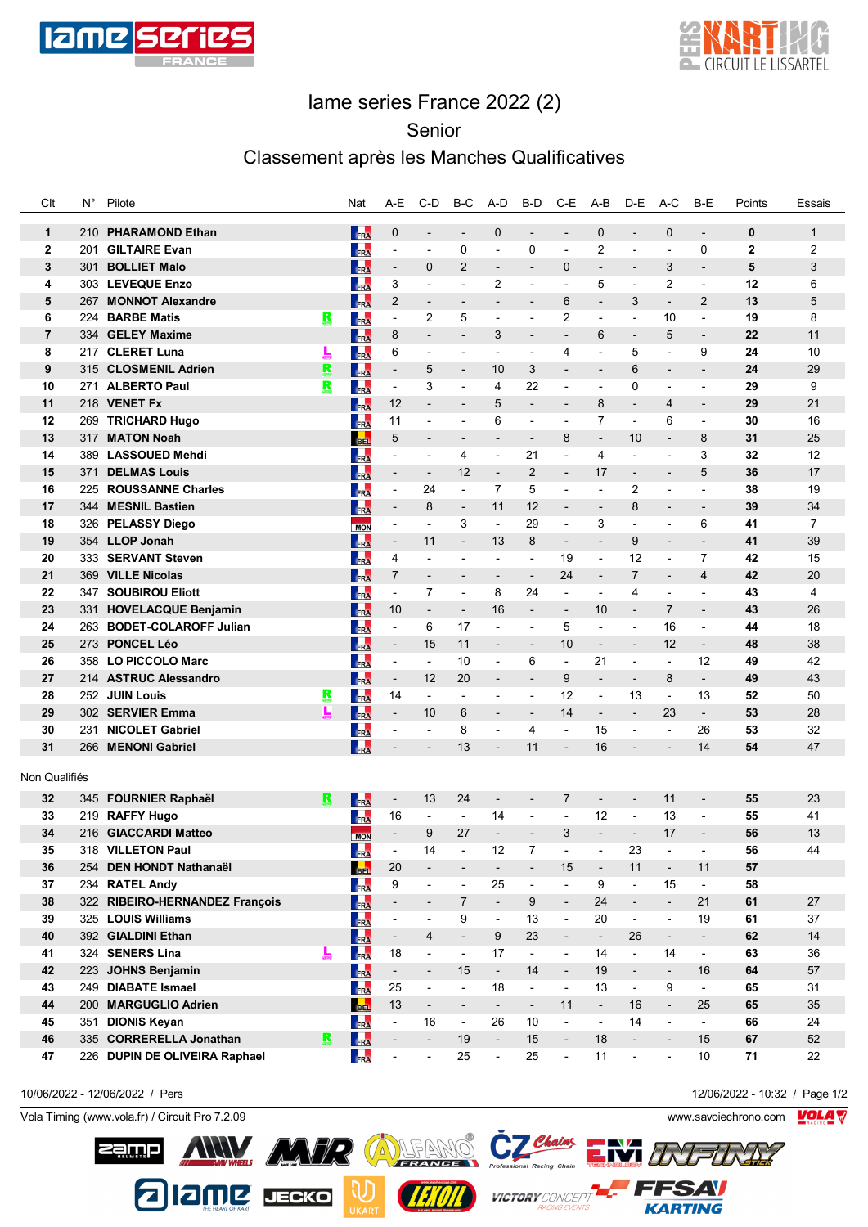



## Iame series France 2022 (2)

Senior

## Classement après les Manches Qualificatives

| Clt                          | $N^{\circ}$ | Pilote                                         |   | Nat        | A-E                           | C-D                                        | B-C                           | A-D                                     | B-D                          | $C-E$                    | $A-B$                         | D-E                                        | A-C                                     | B-E                           | Points              | Essais                         |
|------------------------------|-------------|------------------------------------------------|---|------------|-------------------------------|--------------------------------------------|-------------------------------|-----------------------------------------|------------------------------|--------------------------|-------------------------------|--------------------------------------------|-----------------------------------------|-------------------------------|---------------------|--------------------------------|
|                              |             |                                                |   |            |                               |                                            |                               |                                         |                              | $\overline{a}$           |                               |                                            |                                         |                               |                     |                                |
| $\mathbf{1}$<br>$\mathbf{2}$ | 210<br>201  | <b>PHARAMOND Ethan</b><br><b>GILTAIRE Evan</b> |   | FRA        | $\mathbf 0$<br>$\blacksquare$ | $\overline{\phantom{0}}$<br>$\overline{a}$ | $\overline{\phantom{a}}$<br>0 | $\mathbf 0$<br>$\overline{\phantom{a}}$ | $\overline{a}$<br>0          | $\overline{\phantom{a}}$ | $\mathbf 0$<br>$\overline{2}$ | $\overline{\phantom{a}}$<br>$\overline{a}$ | $\mathbf 0$<br>$\overline{\phantom{a}}$ | $\overline{a}$<br>$\mathbf 0$ | 0<br>$\overline{2}$ | $\mathbf{1}$<br>$\overline{2}$ |
|                              |             |                                                |   | FRA        |                               |                                            | $\overline{2}$                |                                         |                              |                          |                               |                                            | 3                                       |                               | 5                   | 3                              |
| 3                            | 301         | <b>BOLLIET Malo</b>                            |   | FRA        | $\overline{\phantom{a}}$      | 0                                          |                               | $\blacksquare$                          | $\overline{\phantom{a}}$     | $\mathbf 0$              | $\overline{a}$                | $\overline{\phantom{a}}$                   | $\overline{2}$                          | $\overline{\phantom{a}}$      | 12                  |                                |
| 4                            |             | 303 LEVEQUE Enzo                               |   | FRA        | 3                             | ٠                                          | $\overline{\phantom{a}}$      | 2                                       | $\overline{a}$               | ÷,                       | 5                             | ÷,                                         |                                         | $\overline{a}$                |                     | 6                              |
| 5                            | 267         | <b>MONNOT Alexandre</b>                        |   | FRA        | $\overline{2}$                | $\overline{a}$                             | $\overline{\phantom{a}}$      | $\overline{\phantom{0}}$                | $\overline{\phantom{a}}$     | 6                        | $\overline{\phantom{a}}$      | 3                                          | $\overline{\phantom{a}}$                | $\overline{2}$                | 13                  | 5                              |
| 6                            | 224         | <b>BARBE Matis</b>                             | R | FRA        | $\blacksquare$                | 2                                          | 5                             | $\overline{a}$                          |                              | $\overline{\mathbf{c}}$  | $\overline{a}$                | $\overline{a}$                             | 10                                      |                               | 19                  | 8                              |
| 7                            | 334         | <b>GELEY Maxime</b>                            |   | FRA        | 8                             | $\overline{\phantom{a}}$                   | $\overline{\phantom{a}}$      | 3                                       | $\overline{\phantom{a}}$     | $\overline{\phantom{a}}$ | 6                             | $\overline{\phantom{a}}$                   | 5                                       | $\overline{\phantom{a}}$      | 22                  | 11                             |
| 8                            | 217         | <b>CLERET Luna</b>                             |   | FRA        | 6                             | ٠                                          | $\overline{a}$                | ۰                                       | ÷,                           | 4                        | $\overline{a}$                | 5                                          | $\overline{a}$                          | 9                             | 24                  | 10                             |
| 9                            | 315         | <b>CLOSMENIL Adrien</b>                        | R | FRA        | $\overline{\phantom{a}}$      | 5                                          | $\overline{\phantom{a}}$      | 10                                      | 3                            | $\overline{a}$           | $\qquad \qquad \blacksquare$  | 6                                          | $\overline{\phantom{a}}$                | $\overline{\phantom{a}}$      | 24                  | 29                             |
| 10                           | 271         | <b>ALBERTO Paul</b>                            | R | FRA        | $\overline{\phantom{a}}$      | 3                                          | $\overline{\phantom{a}}$      | 4                                       | 22                           | $\overline{a}$           | $\overline{a}$                | 0                                          | $\overline{a}$                          |                               | 29                  | 9                              |
| 11                           | 218         | <b>VENET Fx</b>                                |   | FRA        | 12                            | $\overline{a}$                             | $\overline{\phantom{a}}$      | 5                                       | $\overline{\phantom{a}}$     | $\overline{\phantom{m}}$ | 8                             | $\overline{\phantom{a}}$                   | 4                                       | $\overline{\phantom{a}}$      | 29                  | 21                             |
| 12                           | 269         | <b>TRICHARD Hugo</b>                           |   | FRA        | 11                            | $\overline{a}$                             |                               | 6                                       | $\overline{a}$               | $\overline{a}$           | 7                             | ÷,                                         | 6                                       |                               | 30                  | 16                             |
| 13                           | 317         | <b>MATON Noah</b>                              |   | <b>BEL</b> | 5                             | $\overline{\phantom{a}}$                   | $\overline{\phantom{a}}$      | $\overline{\phantom{0}}$                | $\overline{\phantom{a}}$     | 8                        | $\overline{\phantom{a}}$      | 10                                         | $\overline{\phantom{a}}$                | 8                             | 31                  | 25                             |
| 14                           | 389         | <b>LASSOUED Mehdi</b>                          |   | FRA        | $\overline{\phantom{a}}$      | ٠                                          | 4                             | $\overline{\phantom{0}}$                | 21                           | L,                       | 4                             | $\overline{a}$                             | $\overline{a}$                          | 3                             | 32                  | 12                             |
| 15                           | 371         | <b>DELMAS Louis</b>                            |   | FRA        | $\overline{\phantom{a}}$      | $\overline{\phantom{a}}$                   | 12                            | $\overline{\phantom{a}}$                | $\overline{2}$               | $\overline{\phantom{a}}$ | 17                            | $\overline{\phantom{a}}$                   | $\overline{\phantom{a}}$                | 5                             | 36                  | 17                             |
| 16                           | 225         | <b>ROUSSANNE Charles</b>                       |   | FRA        | $\overline{\phantom{a}}$      | 24                                         | $\overline{\phantom{a}}$      | $\overline{7}$                          | 5                            | L,                       | $\overline{a}$                | 2                                          | L,                                      | $\overline{a}$                | 38                  | 19                             |
| 17                           | 344         | <b>MESNIL Bastien</b>                          |   | FRA        | $\overline{\phantom{a}}$      | 8                                          | $\overline{\phantom{a}}$      | 11                                      | 12                           | $\overline{a}$           | $\qquad \qquad \blacksquare$  | 8                                          | $\overline{\phantom{a}}$                | $\overline{\phantom{a}}$      | 39                  | 34                             |
| 18                           | 326         | <b>PELASSY Diego</b>                           |   | <b>MON</b> | $\overline{\phantom{a}}$      | ٠                                          | 3                             | ÷,                                      | 29                           | ÷,                       | 3                             | ÷,                                         | $\overline{a}$                          | 6                             | 41                  | $\overline{7}$                 |
| 19                           |             | 354 LLOP Jonah                                 |   | FRA        | $\overline{\phantom{a}}$      | 11                                         | $\overline{\phantom{a}}$      | 13                                      | 8                            | $\overline{\phantom{m}}$ | $\qquad \qquad \blacksquare$  | 9                                          | $\overline{a}$                          |                               | 41                  | 39                             |
| 20                           |             | 333 SERVANT Steven                             |   | FRA        | 4                             | -                                          | $\overline{a}$                | ۰                                       | $\overline{a}$               | 19                       | $\overline{a}$                | 12                                         | $\overline{\phantom{a}}$                | 7                             | 42                  | 15                             |
| 21                           | 369         | <b>VILLE Nicolas</b>                           |   | FRA        | 7                             | $\overline{\phantom{a}}$                   | $\overline{\phantom{a}}$      | $\qquad \qquad \blacksquare$            | -                            | 24                       | $\overline{\phantom{a}}$      | $\overline{7}$                             | $\overline{\phantom{a}}$                | 4                             | 42                  | 20                             |
| 22                           | 347         | <b>SOUBIROU Eliott</b>                         |   | FRA        | $\overline{\phantom{a}}$      | 7                                          | $\overline{\phantom{a}}$      | 8                                       | 24                           | $\overline{\phantom{a}}$ | $\overline{a}$                | 4                                          | $\overline{\phantom{a}}$                | $\blacksquare$                | 43                  | 4                              |
| 23                           | 331         | <b>HOVELACQUE Benjamin</b>                     |   | FRA        | 10                            | $\overline{\phantom{a}}$                   | $\overline{\phantom{a}}$      | 16                                      | $\overline{\phantom{a}}$     | $\overline{a}$           | 10                            | $\overline{\phantom{a}}$                   | $\overline{7}$                          |                               | 43                  | 26                             |
| 24                           | 263         | <b>BODET-COLAROFF Julian</b>                   |   | FRA        | $\overline{\phantom{a}}$      | 6                                          | 17                            | $\overline{\phantom{a}}$                | $\overline{a}$               | 5                        | $\frac{1}{2}$                 | $\overline{\phantom{a}}$                   | 16                                      | ÷,                            | 44                  | 18                             |
| 25                           |             | 273 PONCEL Léo                                 |   | FRA        | $\overline{\phantom{a}}$      | 15                                         | 11                            | $\overline{\phantom{a}}$                | $\overline{\phantom{a}}$     | 10                       | $\overline{\phantom{a}}$      | $\overline{\phantom{a}}$                   | 12                                      | $\overline{\phantom{a}}$      | 48                  | 38                             |
| 26                           |             | 358 LO PICCOLO Marc                            |   | FRA        | $\overline{\phantom{a}}$      | $\overline{\phantom{a}}$                   | 10                            | $\overline{\phantom{a}}$                | 6                            | $\overline{\phantom{a}}$ | 21                            | $\overline{a}$                             | $\overline{\phantom{a}}$                | 12                            | 49                  | 42                             |
| 27                           |             | 214 ASTRUC Alessandro                          |   | FRA        | $\overline{\phantom{a}}$      | 12                                         | 20                            | $\overline{\phantom{0}}$                | $\overline{\phantom{0}}$     | 9                        | $\blacksquare$                | $\overline{\phantom{a}}$                   | 8                                       | $\overline{\phantom{a}}$      | 49                  | 43                             |
| 28                           |             | 252 JUIN Louis                                 | Ŗ | FRA        | 14                            | $\overline{\phantom{a}}$                   | $\overline{\phantom{a}}$      | $\overline{\phantom{a}}$                | $\overline{\phantom{a}}$     | 12                       | $\overline{\phantom{a}}$      | 13                                         | $\blacksquare$                          | 13                            | 52                  | 50                             |
| 29                           |             | 302 SERVIER Emma                               | L | FRA        | $\overline{\phantom{a}}$      | 10                                         | 6                             | $\overline{\phantom{a}}$                | $\overline{\phantom{a}}$     | 14                       | $\overline{\phantom{a}}$      | $\overline{\phantom{a}}$                   | 23                                      | $\overline{\phantom{a}}$      | 53                  | 28                             |
| 30                           | 231         | <b>NICOLET Gabriel</b>                         |   | <b>FRA</b> | $\overline{a}$                | $\overline{a}$                             | 8                             | $\overline{\phantom{a}}$                | 4                            | ÷,                       | 15                            | ÷,                                         | $\overline{\phantom{a}}$                | 26                            | 53                  | 32                             |
| 31                           |             | 266 MENONI Gabriel                             |   | FRA        | $\overline{a}$                | $\overline{\phantom{a}}$                   | 13                            | $\overline{\phantom{0}}$                | 11                           | $\overline{a}$           | 16                            | $\overline{\phantom{a}}$                   | $\blacksquare$                          | 14                            | 54                  | 47                             |
| Non Qualifiés                |             |                                                |   |            |                               |                                            |                               |                                         |                              |                          |                               |                                            |                                         |                               |                     |                                |
|                              |             |                                                |   |            |                               |                                            |                               |                                         |                              |                          |                               |                                            |                                         |                               |                     |                                |
| 32                           |             | 345 FOURNIER Raphaël                           | R | FRA        | $\blacksquare$                | 13                                         | 24                            | $\overline{\phantom{a}}$                | $\qquad \qquad \blacksquare$ | 7                        | $\overline{\phantom{a}}$      | $\overline{\phantom{a}}$                   | 11                                      | $\overline{\phantom{a}}$      | 55                  | 23                             |
| 33                           | 219         | <b>RAFFY Hugo</b>                              |   | <b>FRA</b> | 16                            | $\overline{a}$                             | $\overline{\phantom{a}}$      | 14                                      | $\overline{a}$               | $\overline{a}$           | 12                            | $\overline{\phantom{a}}$                   | 13                                      | $\overline{a}$                | 55                  | 41                             |
| 34                           |             | 216 GIACCARDI Matteo                           |   | <b>MON</b> | $\overline{\phantom{a}}$      | 9                                          | 27                            | $\overline{\phantom{a}}$                | $\overline{\phantom{a}}$     | 3                        | $\overline{\phantom{a}}$      | $\overline{\phantom{a}}$                   | 17                                      | $\overline{\phantom{a}}$      | 56                  | 13                             |
| 35                           |             | 318 VILLETON Paul                              |   | FRA        |                               | 14                                         |                               | 12                                      | $\overline{7}$               |                          |                               | 23                                         |                                         |                               | 56                  | 44                             |
| 36                           |             | 254 DEN HONDT Nathanaël                        |   | <b>BEL</b> | 20                            | $\overline{\phantom{a}}$                   | $\overline{\phantom{a}}$      | $\overline{\phantom{a}}$                | $\overline{\phantom{a}}$     | 15                       | $\overline{\phantom{a}}$      | 11                                         | $\overline{\phantom{a}}$                | 11                            | 57                  |                                |
| 37                           | 234         | <b>RATEL Andy</b>                              |   | FRA        | 9                             | $\overline{\phantom{0}}$                   | $\overline{\phantom{a}}$      | 25                                      | $\overline{\phantom{0}}$     | $\frac{1}{2}$            | 9                             | $\blacksquare$                             | 15                                      | $\overline{\phantom{a}}$      | 58                  |                                |
| 38                           |             | 322 RIBEIRO-HERNANDEZ François                 |   | FRA        | $\overline{\phantom{a}}$      | $\qquad \qquad \blacksquare$               | 7                             | $\blacksquare$                          | 9                            | $\overline{\phantom{a}}$ | 24                            | $\overline{\phantom{a}}$                   | $\overline{\phantom{a}}$                | 21                            | 61                  | 27                             |
| 39                           |             | 325 LOUIS Williams                             |   | FRA        | $\blacksquare$                | $\overline{a}$                             | 9                             | $\overline{\phantom{a}}$                | 13                           | $\blacksquare$           | 20                            | $\overline{\phantom{a}}$                   | $\overline{a}$                          | 19                            | 61                  | 37                             |
| 40                           |             | 392 GIALDINI Ethan                             |   | FRA        | $\blacksquare$                | 4                                          | $\blacksquare$                | 9                                       | 23                           | $\overline{\phantom{a}}$ | $\overline{\phantom{a}}$      | 26                                         | $\overline{\phantom{a}}$                | $\overline{\phantom{a}}$      | 62                  | $14$                           |
| 41                           |             | 324 SENERS Lina                                | 느 | FRA        | 18                            | $\overline{a}$                             | $\overline{\phantom{a}}$      | 17                                      | ÷.                           | $\overline{a}$           | 14                            | $\overline{\phantom{a}}$                   | 14                                      | $\overline{\phantom{0}}$      | 63                  | 36                             |
| 42                           |             | 223 JOHNS Benjamin                             |   | FRA        | $\blacksquare$                | $\overline{\phantom{0}}$                   | 15                            | $\overline{\phantom{a}}$                | 14                           | $\overline{a}$           | 19                            | $\overline{\phantom{a}}$                   | $\overline{\phantom{a}}$                | 16                            | 64                  | 57                             |
| 43                           | 249         | <b>DIABATE Ismael</b>                          |   | FRA        | 25                            | $\overline{\phantom{a}}$                   | $\blacksquare$                | 18                                      | $\overline{\phantom{0}}$     | $\overline{a}$           | 13                            | $\overline{\phantom{a}}$                   | 9                                       | $\overline{\phantom{0}}$      | 65                  | 31                             |
| 44                           | 200         | <b>MARGUGLIO Adrien</b>                        |   | <b>BEL</b> | 13                            | $\overline{\phantom{a}}$                   | $\overline{\phantom{a}}$      | $\overline{\phantom{a}}$                | $\overline{\phantom{a}}$     | 11                       | $\overline{\phantom{a}}$      | 16                                         | $\overline{\phantom{a}}$                | 25                            | 65                  | 35                             |
| 45                           | 351         | <b>DIONIS Keyan</b>                            |   | FRA        | ÷,                            | 16                                         | $\blacksquare$                | 26                                      | 10                           | $\blacksquare$           | $\overline{\phantom{a}}$      | 14                                         | $\overline{\phantom{a}}$                | $\overline{\phantom{a}}$      | 66                  | 24                             |
| 46                           | 335         | <b>CORRERELLA Jonathan</b>                     | R | FRA        | $\blacksquare$                | $\overline{\phantom{a}}$                   | 19                            | $\blacksquare$                          | 15                           | $\overline{\phantom{a}}$ | 18                            | $\overline{\phantom{a}}$                   | $\overline{\phantom{a}}$                | 15                            | 67                  | 52                             |
| 47                           |             | 226 DUPIN DE OLIVEIRA Raphael                  |   | FRA        | $\blacksquare$                | $\overline{\phantom{0}}$                   | 25                            | $\overline{\phantom{0}}$                | 25                           | $\overline{a}$           | 11                            | $\overline{\phantom{a}}$                   | $\overline{a}$                          | 10                            | 71                  | 22                             |

10/06/2022 - 12/06/2022 / Pers 12/06/2022 - 10:32 / Page 1/2

Vola Timing (www.vola.fr) / Circuit Pro 7.2.09 www.savoiechrono.com VOLA V

| Sëllijb

ANY AVR ALEANO

2 12 MLZ DECKO

 $\sum_{k=1}^{N}$ 

**FSAV** 

**KARTING** 

UICTORY CONCEPT

*IEKOIL*